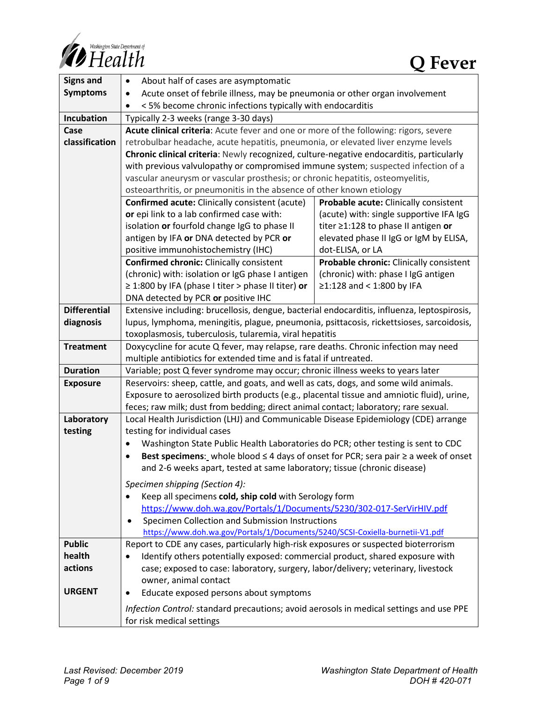

| <b>Signs and</b>    | About half of cases are asymptomatic<br>$\bullet$                                                                                                                                             |                                         |
|---------------------|-----------------------------------------------------------------------------------------------------------------------------------------------------------------------------------------------|-----------------------------------------|
| <b>Symptoms</b>     | Acute onset of febrile illness, may be pneumonia or other organ involvement<br>٠                                                                                                              |                                         |
|                     | <5% become chronic infections typically with endocarditis                                                                                                                                     |                                         |
| Incubation          | Typically 2-3 weeks (range 3-30 days)                                                                                                                                                         |                                         |
| Case                | Acute clinical criteria: Acute fever and one or more of the following: rigors, severe                                                                                                         |                                         |
| classification      | retrobulbar headache, acute hepatitis, pneumonia, or elevated liver enzyme levels                                                                                                             |                                         |
|                     | Chronic clinical criteria: Newly recognized, culture-negative endocarditis, particularly                                                                                                      |                                         |
|                     | with previous valvulopathy or compromised immune system; suspected infection of a                                                                                                             |                                         |
|                     | vascular aneurysm or vascular prosthesis; or chronic hepatitis, osteomyelitis,                                                                                                                |                                         |
|                     | osteoarthritis, or pneumonitis in the absence of other known etiology                                                                                                                         |                                         |
|                     | <b>Confirmed acute:</b> Clinically consistent (acute)                                                                                                                                         | Probable acute: Clinically consistent   |
|                     | or epi link to a lab confirmed case with:                                                                                                                                                     | (acute) with: single supportive IFA IgG |
|                     | isolation or fourfold change IgG to phase II                                                                                                                                                  | titer ≥1:128 to phase II antigen or     |
|                     | antigen by IFA or DNA detected by PCR or                                                                                                                                                      | elevated phase II IgG or IgM by ELISA,  |
|                     | positive immunohistochemistry (IHC)                                                                                                                                                           | dot-ELISA, or LA                        |
|                     | <b>Confirmed chronic: Clinically consistent</b>                                                                                                                                               | Probable chronic: Clinically consistent |
|                     | (chronic) with: isolation or IgG phase I antigen                                                                                                                                              | (chronic) with: phase I IgG antigen     |
|                     | $\geq$ 1:800 by IFA (phase I titer > phase II titer) or                                                                                                                                       | ≥1:128 and < 1:800 by IFA               |
|                     | DNA detected by PCR or positive IHC                                                                                                                                                           |                                         |
| <b>Differential</b> | Extensive including: brucellosis, dengue, bacterial endocarditis, influenza, leptospirosis,                                                                                                   |                                         |
| diagnosis           | lupus, lymphoma, meningitis, plague, pneumonia, psittacosis, rickettsioses, sarcoidosis,                                                                                                      |                                         |
|                     | toxoplasmosis, tuberculosis, tularemia, viral hepatitis                                                                                                                                       |                                         |
| <b>Treatment</b>    | Doxycycline for acute Q fever, may relapse, rare deaths. Chronic infection may need                                                                                                           |                                         |
|                     | multiple antibiotics for extended time and is fatal if untreated.                                                                                                                             |                                         |
| <b>Duration</b>     | Variable; post Q fever syndrome may occur; chronic illness weeks to years later                                                                                                               |                                         |
| <b>Exposure</b>     | Reservoirs: sheep, cattle, and goats, and well as cats, dogs, and some wild animals.                                                                                                          |                                         |
|                     | Exposure to aerosolized birth products (e.g., placental tissue and amniotic fluid), urine,                                                                                                    |                                         |
|                     | feces; raw milk; dust from bedding; direct animal contact; laboratory; rare sexual.                                                                                                           |                                         |
| Laboratory          | Local Health Jurisdiction (LHJ) and Communicable Disease Epidemiology (CDE) arrange                                                                                                           |                                         |
| testing             | testing for individual cases                                                                                                                                                                  |                                         |
|                     | Washington State Public Health Laboratories do PCR; other testing is sent to CDC<br>$\bullet$<br>Best specimens: whole blood $\leq$ 4 days of onset for PCR; sera pair $\geq$ a week of onset |                                         |
|                     | and 2-6 weeks apart, tested at same laboratory; tissue (chronic disease)                                                                                                                      |                                         |
|                     |                                                                                                                                                                                               |                                         |
|                     | Specimen shipping (Section 4):                                                                                                                                                                |                                         |
|                     | Keep all specimens cold, ship cold with Serology form<br>$\bullet$                                                                                                                            |                                         |
|                     | https://www.doh.wa.gov/Portals/1/Documents/5230/302-017-SerVirHIV.pdf                                                                                                                         |                                         |
|                     | Specimen Collection and Submission Instructions                                                                                                                                               |                                         |
|                     | https://www.doh.wa.gov/Portals/1/Documents/5240/SCSI-Coxiella-burnetii-V1.pdf                                                                                                                 |                                         |
| <b>Public</b>       | Report to CDE any cases, particularly high-risk exposures or suspected bioterrorism                                                                                                           |                                         |
| health              | Identify others potentially exposed: commercial product, shared exposure with                                                                                                                 |                                         |
| actions             | case; exposed to case: laboratory, surgery, labor/delivery; veterinary, livestock                                                                                                             |                                         |
|                     | owner, animal contact                                                                                                                                                                         |                                         |
| <b>URGENT</b>       | Educate exposed persons about symptoms<br>٠                                                                                                                                                   |                                         |
|                     | Infection Control: standard precautions; avoid aerosols in medical settings and use PPE<br>for risk medical settings                                                                          |                                         |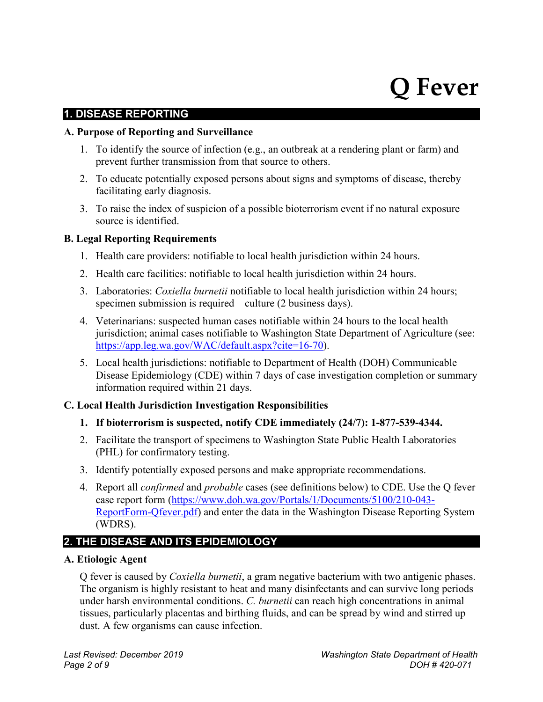# **Q Fever**

#### **1. DISEASE REPORTING**

#### **A. Purpose of Reporting and Surveillance**

- 1. To identify the source of infection (e.g., an outbreak at a rendering plant or farm) and prevent further transmission from that source to others.
- 2. To educate potentially exposed persons about signs and symptoms of disease, thereby facilitating early diagnosis.
- 3. To raise the index of suspicion of a possible bioterrorism event if no natural exposure source is identified.

#### **B. Legal Reporting Requirements**

- 1. Health care providers: notifiable to local health jurisdiction within 24 hours.
- 2. Health care facilities: notifiable to local health jurisdiction within 24 hours.
- 3. Laboratories: *Coxiella burnetii* notifiable to local health jurisdiction within 24 hours; specimen submission is required – culture (2 business days).
- 4. Veterinarians: suspected human cases notifiable within 24 hours to the local health jurisdiction; animal cases notifiable to Washington State Department of Agriculture (see: [https://app.leg.wa.gov/WAC/default.aspx?cite=16-70\)](https://app.leg.wa.gov/WAC/default.aspx?cite=16-70).
- 5. Local health jurisdictions: notifiable to Department of Health (DOH) Communicable Disease Epidemiology (CDE) within 7 days of case investigation completion or summary information required within 21 days.

#### **C. Local Health Jurisdiction Investigation Responsibilities**

- **1. If bioterrorism is suspected, notify CDE immediately (24/7): 1-877-539-4344.**
- 2. Facilitate the transport of specimens to Washington State Public Health Laboratories (PHL) for confirmatory testing.
- 3. Identify potentially exposed persons and make appropriate recommendations.
- 4. Report all *confirmed* and *probable* cases (see definitions below) to CDE. Use the Q fever case report form [\(https://www.doh.wa.gov/Portals/1/Documents/5100/210-043-](https://www.doh.wa.gov/Portals/1/Documents/5100/210-043-ReportForm-Qfever.pdf) [ReportForm-Qfever.pdf\)](https://www.doh.wa.gov/Portals/1/Documents/5100/210-043-ReportForm-Qfever.pdf) and enter the data in the Washington Disease Reporting System (WDRS).

#### **2. THE DISEASE AND ITS EPIDEMIOLOGY**

#### **A. Etiologic Agent**

Q fever is caused by *Coxiella burnetii*, a gram negative bacterium with two antigenic phases. The organism is highly resistant to heat and many disinfectants and can survive long periods under harsh environmental conditions. *C. burnetii* can reach high concentrations in animal tissues, particularly placentas and birthing fluids, and can be spread by wind and stirred up dust. A few organisms can cause infection.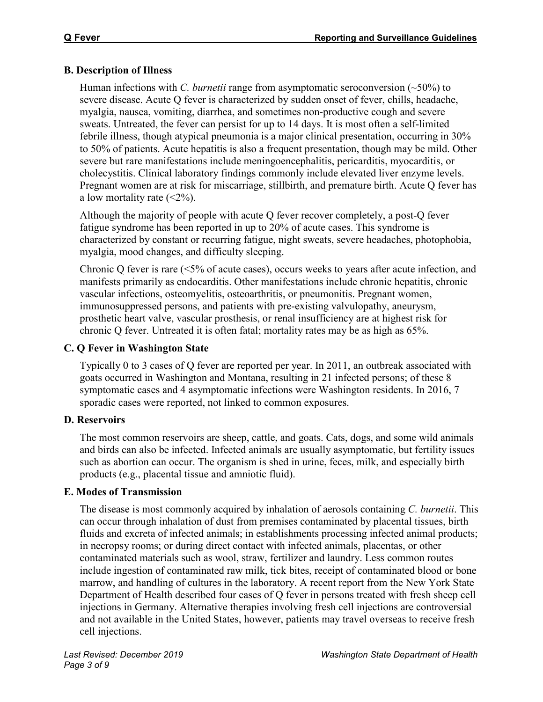# **B. Description of Illness**

Human infections with *C. burnetii* range from asymptomatic seroconversion (~50%) to severe disease. Acute Q fever is characterized by sudden onset of fever, chills, headache, myalgia, nausea, vomiting, diarrhea, and sometimes non-productive cough and severe sweats. Untreated, the fever can persist for up to 14 days. It is most often a self-limited febrile illness, though atypical pneumonia is a major clinical presentation, occurring in 30% to 50% of patients. Acute hepatitis is also a frequent presentation, though may be mild. Other severe but rare manifestations include meningoencephalitis, pericarditis, myocarditis, or cholecystitis. Clinical laboratory findings commonly include elevated liver enzyme levels. Pregnant women are at risk for miscarriage, stillbirth, and premature birth. Acute Q fever has a low mortality rate  $(\leq 2\%)$ .

Although the majority of people with acute Q fever recover completely, a post-Q fever fatigue syndrome has been reported in up to 20% of acute cases. This syndrome is characterized by constant or recurring fatigue, night sweats, severe headaches, photophobia, myalgia, mood changes, and difficulty sleeping.

Chronic Q fever is rare (<5% of acute cases), occurs weeks to years after acute infection, and manifests primarily as endocarditis. Other manifestations include chronic hepatitis, chronic vascular infections, osteomyelitis, osteoarthritis, or pneumonitis. Pregnant women, immunosuppressed persons, and patients with pre-existing valvulopathy, aneurysm, prosthetic heart valve, vascular prosthesis, or renal insufficiency are at highest risk for chronic Q fever. Untreated it is often fatal; mortality rates may be as high as 65%.

# **C. Q Fever in Washington State**

Typically 0 to 3 cases of Q fever are reported per year. In 2011, an outbreak associated with goats occurred in Washington and Montana, resulting in 21 infected persons; of these 8 symptomatic cases and 4 asymptomatic infections were Washington residents. In 2016, 7 sporadic cases were reported, not linked to common exposures.

# **D. Reservoirs**

The most common reservoirs are sheep, cattle, and goats. Cats, dogs, and some wild animals and birds can also be infected. Infected animals are usually asymptomatic, but fertility issues such as abortion can occur. The organism is shed in urine, feces, milk, and especially birth products (e.g., placental tissue and amniotic fluid).

# **E. Modes of Transmission**

The disease is most commonly acquired by inhalation of aerosols containing *C. burnetii*. This can occur through inhalation of dust from premises contaminated by placental tissues, birth fluids and excreta of infected animals; in establishments processing infected animal products; in necropsy rooms; or during direct contact with infected animals, placentas, or other contaminated materials such as wool, straw, fertilizer and laundry. Less common routes include ingestion of contaminated raw milk, tick bites, receipt of contaminated blood or bone marrow, and handling of cultures in the laboratory. A recent report from the New York State Department of Health described four cases of Q fever in persons treated with fresh sheep cell injections in Germany. Alternative therapies involving fresh cell injections are controversial and not available in the United States, however, patients may travel overseas to receive fresh cell injections.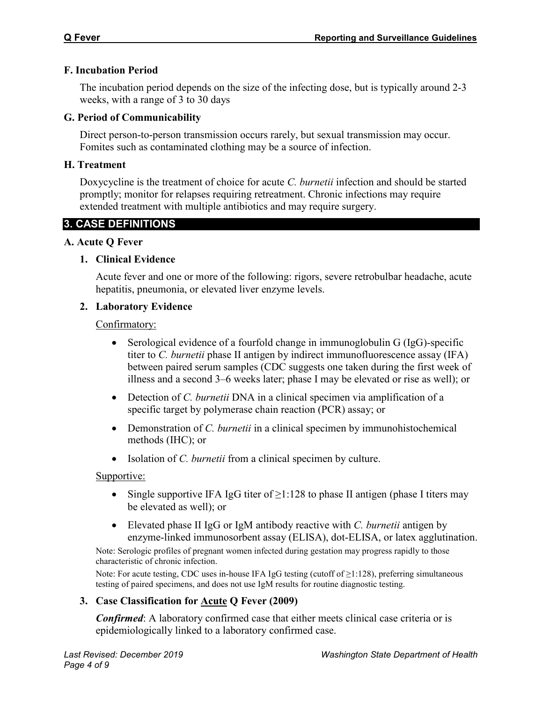## **F. Incubation Period**

The incubation period depends on the size of the infecting dose, but is typically around 2-3 weeks, with a range of 3 to 30 days

## **G. Period of Communicability**

Direct person-to-person transmission occurs rarely, but sexual transmission may occur. Fomites such as contaminated clothing may be a source of infection.

## **H. Treatment**

Doxycycline is the treatment of choice for acute *C. burnetii* infection and should be started promptly; monitor for relapses requiring retreatment. Chronic infections may require extended treatment with multiple antibiotics and may require surgery.

# **3. CASE DEFINITIONS**

## **A. Acute Q Fever**

## **1. Clinical Evidence**

Acute fever and one or more of the following: rigors, severe retrobulbar headache, acute hepatitis, pneumonia, or elevated liver enzyme levels.

# **2. Laboratory Evidence**

## Confirmatory:

- Serological evidence of a fourfold change in immunoglobulin G (IgG)-specific titer to *C. burnetii* phase II antigen by indirect immunofluorescence assay (IFA) between paired serum samples (CDC suggests one taken during the first week of illness and a second 3–6 weeks later; phase I may be elevated or rise as well); or
- Detection of *C. burnetii* DNA in a clinical specimen via amplification of a specific target by polymerase chain reaction (PCR) assay; or
- Demonstration of *C. burnetii* in a clinical specimen by immunohistochemical methods (IHC); or
- Isolation of *C. burnetii* from a clinical specimen by culture.

## Supportive:

- Single supportive IFA IgG titer of  $\geq$ 1:128 to phase II antigen (phase I titers may be elevated as well); or
- Elevated phase II IgG or IgM antibody reactive with *C. burnetii* antigen by enzyme-linked immunosorbent assay (ELISA), dot-ELISA, or latex agglutination.

Note: Serologic profiles of pregnant women infected during gestation may progress rapidly to those characteristic of chronic infection.

Note: For acute testing, CDC uses in-house IFA IgG testing (cutoff of ≥1:128), preferring simultaneous testing of paired specimens, and does not use IgM results for routine diagnostic testing.

# **3. Case Classification for Acute Q Fever (2009)**

*Confirmed*: A laboratory confirmed case that either meets clinical case criteria or is epidemiologically linked to a laboratory confirmed case.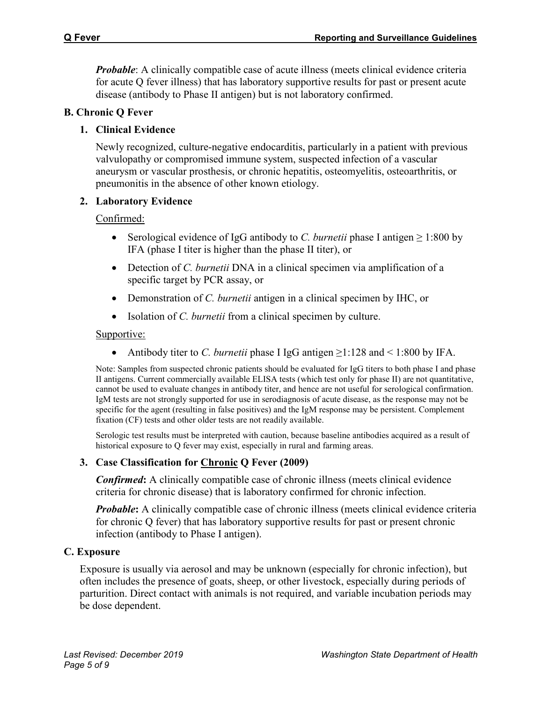*Probable*: A clinically compatible case of acute illness (meets clinical evidence criteria for acute Q fever illness) that has laboratory supportive results for past or present acute disease (antibody to Phase II antigen) but is not laboratory confirmed.

#### **B. Chronic Q Fever**

### **1. Clinical Evidence**

Newly recognized, culture-negative endocarditis, particularly in a patient with previous valvulopathy or compromised immune system, suspected infection of a vascular aneurysm or vascular prosthesis, or chronic hepatitis, osteomyelitis, osteoarthritis, or pneumonitis in the absence of other known etiology.

#### **2. Laboratory Evidence**

#### Confirmed:

- Serological evidence of IgG antibody to *C. burnetii* phase I antigen  $\geq 1:800$  by IFA (phase I titer is higher than the phase II titer), or
- Detection of *C. burnetii* DNA in a clinical specimen via amplification of a specific target by PCR assay, or
- Demonstration of *C. burnetii* antigen in a clinical specimen by IHC, or
- Isolation of *C. burnetii* from a clinical specimen by culture.

#### Supportive:

• Antibody titer to *C. burnetii* phase I IgG antigen ≥1:128 and < 1:800 by IFA.

Note: Samples from suspected chronic patients should be evaluated for IgG titers to both phase I and phase II antigens. Current commercially available ELISA tests (which test only for phase II) are not quantitative, cannot be used to evaluate changes in antibody titer, and hence are not useful for serological confirmation. IgM tests are not strongly supported for use in serodiagnosis of acute disease, as the response may not be specific for the agent (resulting in false positives) and the IgM response may be persistent. Complement fixation (CF) tests and other older tests are not readily available.

Serologic test results must be interpreted with caution, because baseline antibodies acquired as a result of historical exposure to Q fever may exist, especially in rural and farming areas.

## **3. Case Classification for Chronic Q Fever (2009)**

*Confirmed***:** A clinically compatible case of chronic illness (meets clinical evidence criteria for chronic disease) that is laboratory confirmed for chronic infection.

*Probable***:** A clinically compatible case of chronic illness (meets clinical evidence criteria for chronic Q fever) that has laboratory supportive results for past or present chronic infection (antibody to Phase I antigen).

## **C. Exposure**

Exposure is usually via aerosol and may be unknown (especially for chronic infection), but often includes the presence of goats, sheep, or other livestock, especially during periods of parturition. Direct contact with animals is not required, and variable incubation periods may be dose dependent.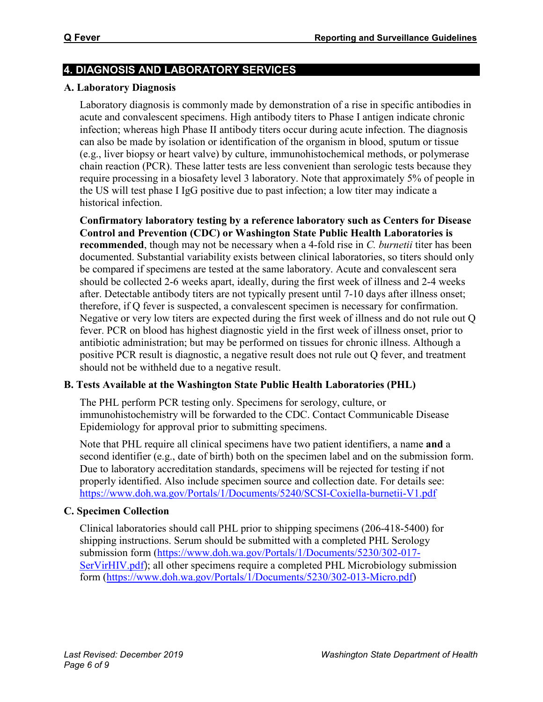# **4. DIAGNOSIS AND LABORATORY SERVICES**

## **A. Laboratory Diagnosis**

Laboratory diagnosis is commonly made by demonstration of a rise in specific antibodies in acute and convalescent specimens. High antibody titers to Phase I antigen indicate chronic infection; whereas high Phase II antibody titers occur during acute infection. The diagnosis can also be made by isolation or identification of the organism in blood, sputum or tissue (e.g., liver biopsy or heart valve) by culture, immunohistochemical methods, or polymerase chain reaction (PCR). These latter tests are less convenient than serologic tests because they require processing in a biosafety level 3 laboratory. Note that approximately 5% of people in the US will test phase I IgG positive due to past infection; a low titer may indicate a historical infection.

**Confirmatory laboratory testing by a reference laboratory such as Centers for Disease Control and Prevention (CDC) or Washington State Public Health Laboratories is recommended**, though may not be necessary when a 4-fold rise in *C. burnetii* titer has been documented. Substantial variability exists between clinical laboratories, so titers should only be compared if specimens are tested at the same laboratory. Acute and convalescent sera should be collected 2-6 weeks apart, ideally, during the first week of illness and 2-4 weeks after. Detectable antibody titers are not typically present until 7-10 days after illness onset; therefore, if Q fever is suspected, a convalescent specimen is necessary for confirmation. Negative or very low titers are expected during the first week of illness and do not rule out Q fever. PCR on blood has highest diagnostic yield in the first week of illness onset, prior to antibiotic administration; but may be performed on tissues for chronic illness. Although a positive PCR result is diagnostic, a negative result does not rule out Q fever, and treatment should not be withheld due to a negative result.

# **B. Tests Available at the Washington State Public Health Laboratories (PHL)**

The PHL perform PCR testing only. Specimens for serology, culture, or immunohistochemistry will be forwarded to the CDC. Contact Communicable Disease Epidemiology for approval prior to submitting specimens.

Note that PHL require all clinical specimens have two patient identifiers, a name **and** a second identifier (e.g., date of birth) both on the specimen label and on the submission form. Due to laboratory accreditation standards, specimens will be rejected for testing if not properly identified. Also include specimen source and collection date. For details see: <https://www.doh.wa.gov/Portals/1/Documents/5240/SCSI-Coxiella-burnetii-V1.pdf>

# **C. Specimen Collection**

Clinical laboratories should call PHL prior to shipping specimens (206-418-5400) for shipping instructions. Serum should be submitted with a completed PHL Serology submission form [\(https://www.doh.wa.gov/Portals/1/Documents/5230/302-017-](https://www.doh.wa.gov/Portals/1/Documents/5230/302-017-SerVirHIV.pdf) [SerVirHIV.pdf](https://www.doh.wa.gov/Portals/1/Documents/5230/302-017-SerVirHIV.pdf)); all other specimens require a completed PHL Microbiology submission form [\(https://www.doh.wa.gov/Portals/1/Documents/5230/302-013-Micro.pdf\)](https://www.doh.wa.gov/Portals/1/Documents/5230/302-013-Micro.pdf)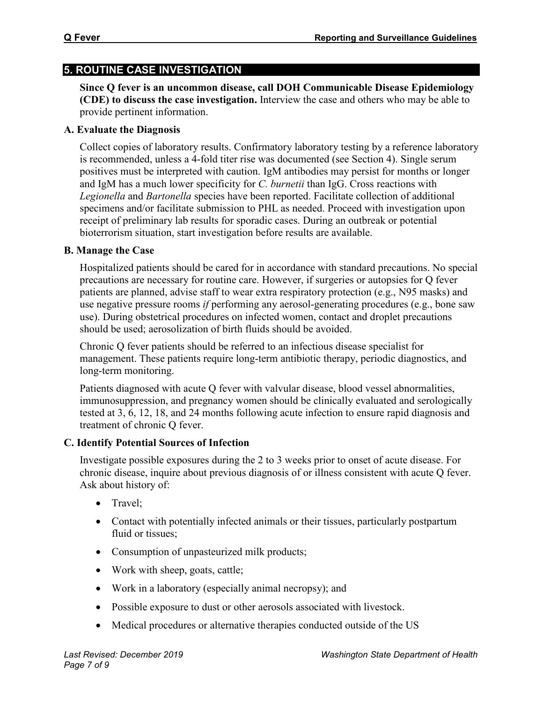# **5. ROUTINE CASE INVESTIGATION**

**Since Q fever is an uncommon disease, call DOH Communicable Disease Epidemiology (CDE) to discuss the case investigation.** Interview the case and others who may be able to provide pertinent information.

# **A. Evaluate the Diagnosis**

Collect copies of laboratory results. Confirmatory laboratory testing by a reference laboratory is recommended, unless a 4-fold titer rise was documented (see Section 4). Single serum positives must be interpreted with caution. IgM antibodies may persist for months or longer and IgM has a much lower specificity for *C. burnetii* than IgG. Cross reactions with *Legionella* and *Bartonella* species have been reported. Facilitate collection of additional specimens and/or facilitate submission to PHL as needed. Proceed with investigation upon receipt of preliminary lab results for sporadic cases. During an outbreak or potential bioterrorism situation, start investigation before results are available.

# **B. Manage the Case**

Hospitalized patients should be cared for in accordance with standard precautions. No special precautions are necessary for routine care. However, if surgeries or autopsies for Q fever patients are planned, advise staff to wear extra respiratory protection (e.g., N95 masks) and use negative pressure rooms *if* performing any aerosol-generating procedures (e.g., bone saw use). During obstetrical procedures on infected women, contact and droplet precautions should be used; aerosolization of birth fluids should be avoided.

Chronic Q fever patients should be referred to an infectious disease specialist for management. These patients require long-term antibiotic therapy, periodic diagnostics, and long-term monitoring.

Patients diagnosed with acute Q fever with valvular disease, blood vessel abnormalities, immunosuppression, and pregnancy women should be clinically evaluated and serologically tested at 3, 6, 12, 18, and 24 months following acute infection to ensure rapid diagnosis and treatment of chronic Q fever.

# **C. Identify Potential Sources of Infection**

Investigate possible exposures during the 2 to 3 weeks prior to onset of acute disease. For chronic disease, inquire about previous diagnosis of or illness consistent with acute Q fever. Ask about history of:

- Travel:
- Contact with potentially infected animals or their tissues, particularly postpartum fluid or tissues;
- Consumption of unpasteurized milk products;
- Work with sheep, goats, cattle;
- Work in a laboratory (especially animal necropsy); and
- Possible exposure to dust or other aerosols associated with livestock.
- Medical procedures or alternative therapies conducted outside of the US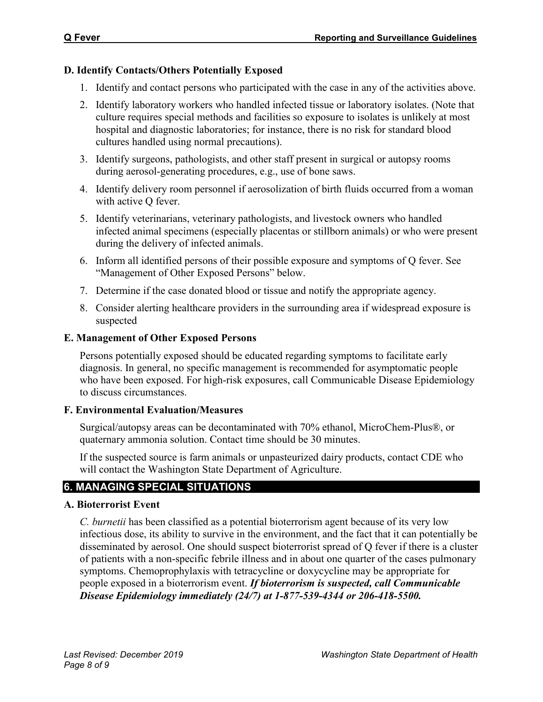## **D. Identify Contacts/Others Potentially Exposed**

- 1. Identify and contact persons who participated with the case in any of the activities above.
- 2. Identify laboratory workers who handled infected tissue or laboratory isolates. (Note that culture requires special methods and facilities so exposure to isolates is unlikely at most hospital and diagnostic laboratories; for instance, there is no risk for standard blood cultures handled using normal precautions).
- 3. Identify surgeons, pathologists, and other staff present in surgical or autopsy rooms during aerosol-generating procedures, e.g., use of bone saws.
- 4. Identify delivery room personnel if aerosolization of birth fluids occurred from a woman with active Q fever.
- 5. Identify veterinarians, veterinary pathologists, and livestock owners who handled infected animal specimens (especially placentas or stillborn animals) or who were present during the delivery of infected animals.
- 6. Inform all identified persons of their possible exposure and symptoms of Q fever. See "Management of Other Exposed Persons" below.
- 7. Determine if the case donated blood or tissue and notify the appropriate agency.
- 8. Consider alerting healthcare providers in the surrounding area if widespread exposure is suspected

#### **E. Management of Other Exposed Persons**

Persons potentially exposed should be educated regarding symptoms to facilitate early diagnosis. In general, no specific management is recommended for asymptomatic people who have been exposed. For high-risk exposures, call Communicable Disease Epidemiology to discuss circumstances.

## **F. Environmental Evaluation/Measures**

Surgical/autopsy areas can be decontaminated with 70% ethanol, MicroChem-Plus®, or quaternary ammonia solution. Contact time should be 30 minutes.

If the suspected source is farm animals or unpasteurized dairy products, contact CDE who will contact the Washington State Department of Agriculture.

## **6. MANAGING SPECIAL SITUATIONS**

## **A. Bioterrorist Event**

*C. burnetii* has been classified as a potential bioterrorism agent because of its very low infectious dose, its ability to survive in the environment, and the fact that it can potentially be disseminated by aerosol. One should suspect bioterrorist spread of Q fever if there is a cluster of patients with a non-specific febrile illness and in about one quarter of the cases pulmonary symptoms. Chemoprophylaxis with tetracycline or doxycycline may be appropriate for people exposed in a bioterrorism event. *If bioterrorism is suspected, call Communicable Disease Epidemiology immediately (24/7) at 1-877-539-4344 or 206-418-5500.*